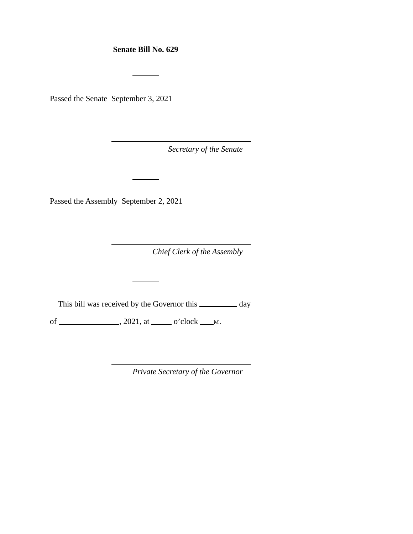**Senate Bill No. 629** 

Passed the Senate September 3, 2021

*Secretary of the Senate* 

Passed the Assembly September 2, 2021

*Chief Clerk of the Assembly* 

This bill was received by the Governor this \_\_\_\_\_\_\_\_ day

of  $\_\_\_\_\_\_\_\_\_\_\_\_\_\_\_\_\_\_\_\_\_\_\_\_\_\_\_\_\_\_$ . 2021, at  $\_\_\_\_\_\_\_\_\_\_\_\_\_\_\_\_\_\_\_\_\_\_\_\_$ .

*Private Secretary of the Governor*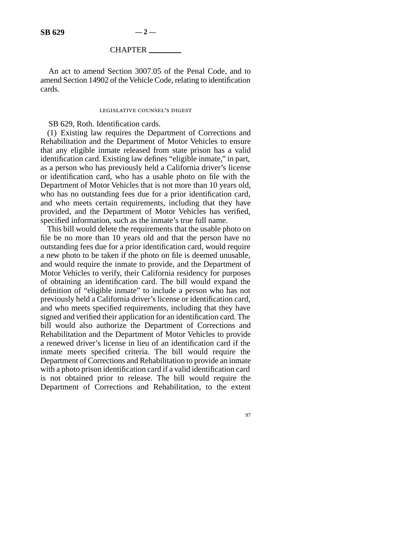## CHAPTER

An act to amend Section 3007.05 of the Penal Code, and to amend Section 14902 of the Vehicle Code, relating to identification cards.

## legislative counsel's digest

## SB 629, Roth. Identification cards.

(1) Existing law requires the Department of Corrections and Rehabilitation and the Department of Motor Vehicles to ensure that any eligible inmate released from state prison has a valid identification card. Existing law defines "eligible inmate," in part, as a person who has previously held a California driver's license or identification card, who has a usable photo on file with the Department of Motor Vehicles that is not more than 10 years old, who has no outstanding fees due for a prior identification card, and who meets certain requirements, including that they have provided, and the Department of Motor Vehicles has verified, specified information, such as the inmate's true full name.

This bill would delete the requirements that the usable photo on file be no more than 10 years old and that the person have no outstanding fees due for a prior identification card, would require a new photo to be taken if the photo on file is deemed unusable, and would require the inmate to provide, and the Department of Motor Vehicles to verify, their California residency for purposes of obtaining an identification card. The bill would expand the definition of "eligible inmate" to include a person who has not previously held a California driver's license or identification card, and who meets specified requirements, including that they have signed and verified their application for an identification card. The bill would also authorize the Department of Corrections and Rehabilitation and the Department of Motor Vehicles to provide a renewed driver's license in lieu of an identification card if the inmate meets specified criteria. The bill would require the Department of Corrections and Rehabilitation to provide an inmate with a photo prison identification card if a valid identification card is not obtained prior to release. The bill would require the Department of Corrections and Rehabilitation, to the extent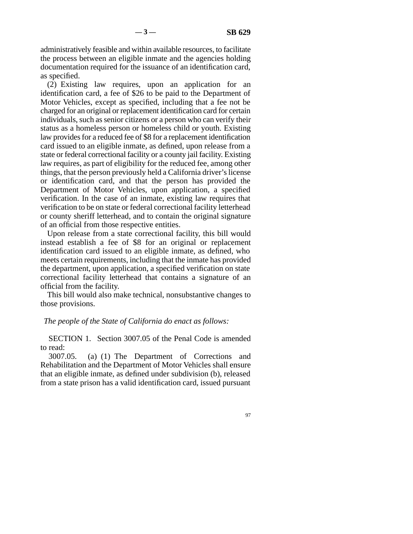administratively feasible and within available resources, to facilitate the process between an eligible inmate and the agencies holding documentation required for the issuance of an identification card, as specified.

(2) Existing law requires, upon an application for an identification card, a fee of \$26 to be paid to the Department of Motor Vehicles, except as specified, including that a fee not be charged for an original or replacement identification card for certain individuals, such as senior citizens or a person who can verify their status as a homeless person or homeless child or youth. Existing law provides for a reduced fee of \$8 for a replacement identification card issued to an eligible inmate, as defined, upon release from a state or federal correctional facility or a county jail facility. Existing law requires, as part of eligibility for the reduced fee, among other things, that the person previously held a California driver's license or identification card, and that the person has provided the Department of Motor Vehicles, upon application, a specified verification. In the case of an inmate, existing law requires that verification to be on state or federal correctional facility letterhead or county sheriff letterhead, and to contain the original signature of an official from those respective entities.

Upon release from a state correctional facility, this bill would instead establish a fee of \$8 for an original or replacement identification card issued to an eligible inmate, as defined, who meets certain requirements, including that the inmate has provided the department, upon application, a specified verification on state correctional facility letterhead that contains a signature of an official from the facility.

This bill would also make technical, nonsubstantive changes to those provisions.

## *The people of the State of California do enact as follows:*

SECTION 1. Section 3007.05 of the Penal Code is amended to read:

3007.05. (a) (1) The Department of Corrections and Rehabilitation and the Department of Motor Vehicles shall ensure that an eligible inmate, as defined under subdivision (b), released from a state prison has a valid identification card, issued pursuant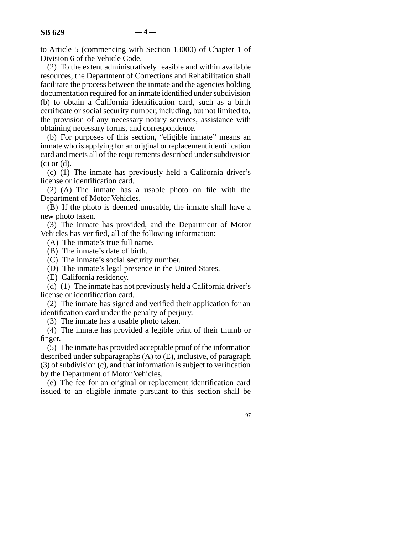to Article 5 (commencing with Section 13000) of Chapter 1 of Division 6 of the Vehicle Code.

(2) To the extent administratively feasible and within available resources, the Department of Corrections and Rehabilitation shall facilitate the process between the inmate and the agencies holding documentation required for an inmate identified under subdivision (b) to obtain a California identification card, such as a birth certificate or social security number, including, but not limited to, the provision of any necessary notary services, assistance with obtaining necessary forms, and correspondence.

(b) For purposes of this section, "eligible inmate" means an inmate who is applying for an original or replacement identification card and meets all of the requirements described under subdivision (c) or (d).

(c) (1) The inmate has previously held a California driver's license or identification card.

(2) (A) The inmate has a usable photo on file with the Department of Motor Vehicles.

(B) If the photo is deemed unusable, the inmate shall have a new photo taken.

(3) The inmate has provided, and the Department of Motor Vehicles has verified, all of the following information:

(A) The inmate's true full name.

(B) The inmate's date of birth.

(C) The inmate's social security number.

(D) The inmate's legal presence in the United States.

(E) California residency.

(d) (1) The inmate has not previously held a California driver's license or identification card.

(2) The inmate has signed and verified their application for an identification card under the penalty of perjury.

(3) The inmate has a usable photo taken.

(4) The inmate has provided a legible print of their thumb or finger.

(5) The inmate has provided acceptable proof of the information described under subparagraphs (A) to (E), inclusive, of paragraph (3) of subdivision (c), and that information is subject to verification by the Department of Motor Vehicles.

(e) The fee for an original or replacement identification card issued to an eligible inmate pursuant to this section shall be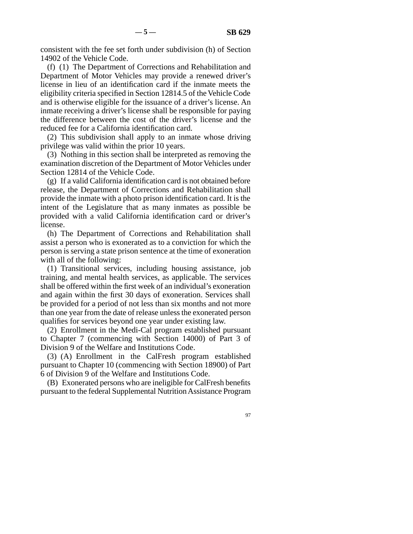consistent with the fee set forth under subdivision (h) of Section 14902 of the Vehicle Code.

(f) (1) The Department of Corrections and Rehabilitation and Department of Motor Vehicles may provide a renewed driver's license in lieu of an identification card if the inmate meets the eligibility criteria specified in Section 12814.5 of the Vehicle Code and is otherwise eligible for the issuance of a driver's license. An inmate receiving a driver's license shall be responsible for paying the difference between the cost of the driver's license and the reduced fee for a California identification card.

(2) This subdivision shall apply to an inmate whose driving privilege was valid within the prior 10 years.

(3) Nothing in this section shall be interpreted as removing the examination discretion of the Department of Motor Vehicles under Section 12814 of the Vehicle Code.

(g) If a valid California identification card is not obtained before release, the Department of Corrections and Rehabilitation shall provide the inmate with a photo prison identification card. It is the intent of the Legislature that as many inmates as possible be provided with a valid California identification card or driver's license.

(h) The Department of Corrections and Rehabilitation shall assist a person who is exonerated as to a conviction for which the person is serving a state prison sentence at the time of exoneration with all of the following:

(1) Transitional services, including housing assistance, job training, and mental health services, as applicable. The services shall be offered within the first week of an individual's exoneration and again within the first 30 days of exoneration. Services shall be provided for a period of not less than six months and not more than one year from the date of release unless the exonerated person qualifies for services beyond one year under existing law.

(2) Enrollment in the Medi-Cal program established pursuant to Chapter 7 (commencing with Section 14000) of Part 3 of Division 9 of the Welfare and Institutions Code.

(3) (A) Enrollment in the CalFresh program established pursuant to Chapter 10 (commencing with Section 18900) of Part 6 of Division 9 of the Welfare and Institutions Code.

(B) Exonerated persons who are ineligible for CalFresh benefits pursuant to the federal Supplemental Nutrition Assistance Program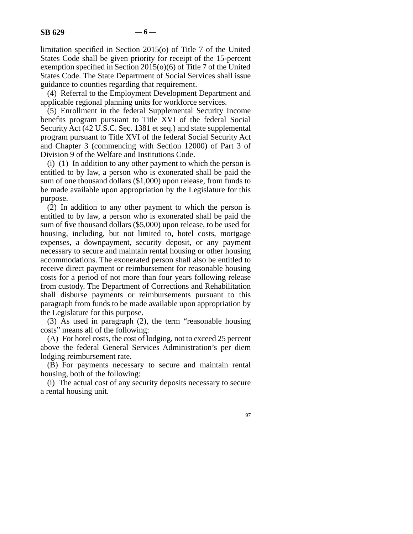limitation specified in Section 2015(o) of Title 7 of the United States Code shall be given priority for receipt of the 15-percent exemption specified in Section 2015(o)(6) of Title 7 of the United States Code. The State Department of Social Services shall issue guidance to counties regarding that requirement.

(4) Referral to the Employment Development Department and applicable regional planning units for workforce services.

(5) Enrollment in the federal Supplemental Security Income benefits program pursuant to Title XVI of the federal Social Security Act (42 U.S.C. Sec. 1381 et seq.) and state supplemental program pursuant to Title XVI of the federal Social Security Act and Chapter 3 (commencing with Section 12000) of Part 3 of Division 9 of the Welfare and Institutions Code.

(i) (1) In addition to any other payment to which the person is entitled to by law, a person who is exonerated shall be paid the sum of one thousand dollars (\$1,000) upon release, from funds to be made available upon appropriation by the Legislature for this purpose.

(2) In addition to any other payment to which the person is entitled to by law, a person who is exonerated shall be paid the sum of five thousand dollars (\$5,000) upon release, to be used for housing, including, but not limited to, hotel costs, mortgage expenses, a downpayment, security deposit, or any payment necessary to secure and maintain rental housing or other housing accommodations. The exonerated person shall also be entitled to receive direct payment or reimbursement for reasonable housing costs for a period of not more than four years following release from custody. The Department of Corrections and Rehabilitation shall disburse payments or reimbursements pursuant to this paragraph from funds to be made available upon appropriation by the Legislature for this purpose.

(3) As used in paragraph (2), the term "reasonable housing costs" means all of the following:

(A) For hotel costs, the cost of lodging, not to exceed 25 percent above the federal General Services Administration's per diem lodging reimbursement rate.

(B) For payments necessary to secure and maintain rental housing, both of the following:

(i) The actual cost of any security deposits necessary to secure a rental housing unit.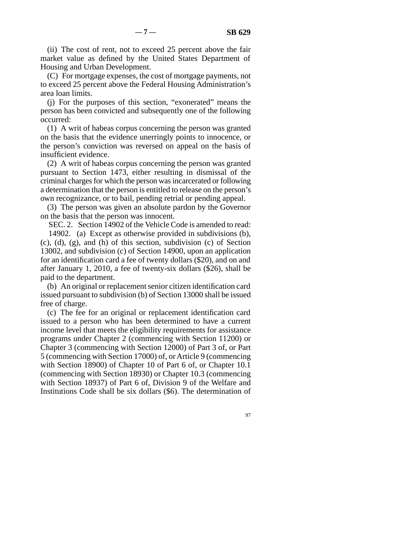(ii) The cost of rent, not to exceed 25 percent above the fair market value as defined by the United States Department of Housing and Urban Development.

(C) For mortgage expenses, the cost of mortgage payments, not to exceed 25 percent above the Federal Housing Administration's area loan limits.

(j) For the purposes of this section, "exonerated" means the person has been convicted and subsequently one of the following occurred:

(1) A writ of habeas corpus concerning the person was granted on the basis that the evidence unerringly points to innocence, or the person's conviction was reversed on appeal on the basis of insufficient evidence.

(2) A writ of habeas corpus concerning the person was granted pursuant to Section 1473, either resulting in dismissal of the criminal charges for which the person was incarcerated or following a determination that the person is entitled to release on the person's own recognizance, or to bail, pending retrial or pending appeal.

(3) The person was given an absolute pardon by the Governor on the basis that the person was innocent.

SEC. 2. Section 14902 of the Vehicle Code is amended to read:

14902. (a) Except as otherwise provided in subdivisions (b), (c), (d), (g), and (h) of this section, subdivision (c) of Section 13002, and subdivision (c) of Section 14900, upon an application for an identification card a fee of twenty dollars (\$20), and on and after January 1, 2010, a fee of twenty-six dollars (\$26), shall be paid to the department.

(b) An original or replacement senior citizen identification card issued pursuant to subdivision (b) of Section 13000 shall be issued free of charge.

(c) The fee for an original or replacement identification card issued to a person who has been determined to have a current income level that meets the eligibility requirements for assistance programs under Chapter 2 (commencing with Section 11200) or Chapter 3 (commencing with Section 12000) of Part 3 of, or Part 5 (commencing with Section 17000) of, or Article 9 (commencing with Section 18900) of Chapter 10 of Part 6 of, or Chapter 10.1 (commencing with Section 18930) or Chapter 10.3 (commencing with Section 18937) of Part 6 of, Division 9 of the Welfare and Institutions Code shall be six dollars (\$6). The determination of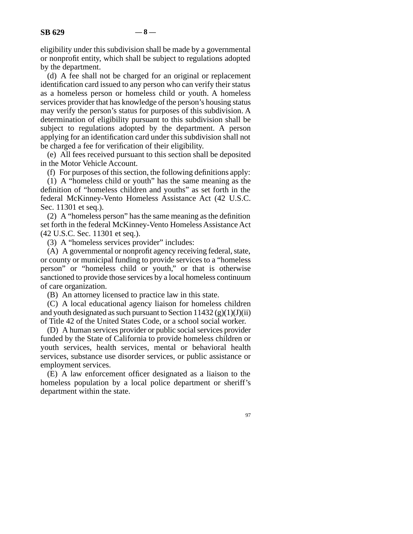eligibility under this subdivision shall be made by a governmental or nonprofit entity, which shall be subject to regulations adopted by the department.

(d) A fee shall not be charged for an original or replacement identification card issued to any person who can verify their status as a homeless person or homeless child or youth. A homeless services provider that has knowledge of the person's housing status may verify the person's status for purposes of this subdivision. A determination of eligibility pursuant to this subdivision shall be subject to regulations adopted by the department. A person applying for an identification card under this subdivision shall not be charged a fee for verification of their eligibility.

(e) All fees received pursuant to this section shall be deposited in the Motor Vehicle Account.

(f) For purposes of this section, the following definitions apply:

(1) A "homeless child or youth" has the same meaning as the definition of "homeless children and youths" as set forth in the federal McKinney-Vento Homeless Assistance Act (42 U.S.C. Sec. 11301 et seq.).

(2) A "homeless person" has the same meaning as the definition set forth in the federal McKinney-Vento Homeless Assistance Act (42 U.S.C. Sec. 11301 et seq.).

(3) A "homeless services provider" includes:

(A) A governmental or nonprofit agency receiving federal, state, or county or municipal funding to provide services to a "homeless person" or "homeless child or youth," or that is otherwise sanctioned to provide those services by a local homeless continuum of care organization.

(B) An attorney licensed to practice law in this state.

(C) A local educational agency liaison for homeless children and youth designated as such pursuant to Section  $11432 \left( g \right)(1)(J)(ii)$ of Title 42 of the United States Code, or a school social worker.

(D) A human services provider or public social services provider funded by the State of California to provide homeless children or youth services, health services, mental or behavioral health services, substance use disorder services, or public assistance or employment services.

(E) A law enforcement officer designated as a liaison to the homeless population by a local police department or sheriff's department within the state.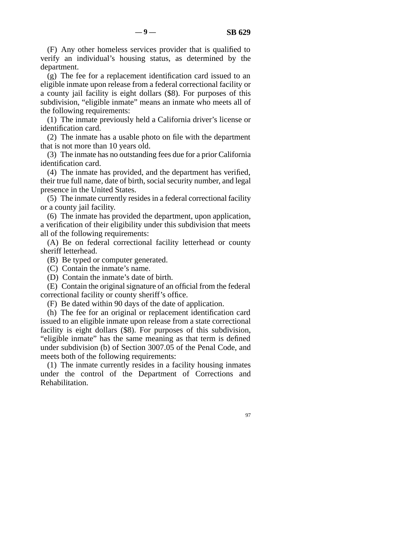(F) Any other homeless services provider that is qualified to verify an individual's housing status, as determined by the department.

(g) The fee for a replacement identification card issued to an eligible inmate upon release from a federal correctional facility or a county jail facility is eight dollars (\$8). For purposes of this subdivision, "eligible inmate" means an inmate who meets all of the following requirements:

(1) The inmate previously held a California driver's license or identification card.

(2) The inmate has a usable photo on file with the department that is not more than 10 years old.

(3) The inmate has no outstanding fees due for a prior California identification card.

(4) The inmate has provided, and the department has verified, their true full name, date of birth, social security number, and legal presence in the United States.

(5) The inmate currently resides in a federal correctional facility or a county jail facility.

(6) The inmate has provided the department, upon application, a verification of their eligibility under this subdivision that meets all of the following requirements:

(A) Be on federal correctional facility letterhead or county sheriff letterhead.

(B) Be typed or computer generated.

(C) Contain the inmate's name.

(D) Contain the inmate's date of birth.

(E) Contain the original signature of an official from the federal correctional facility or county sheriff's office.

(F) Be dated within 90 days of the date of application.

(h) The fee for an original or replacement identification card issued to an eligible inmate upon release from a state correctional facility is eight dollars (\$8). For purposes of this subdivision, "eligible inmate" has the same meaning as that term is defined under subdivision (b) of Section 3007.05 of the Penal Code, and meets both of the following requirements:

(1) The inmate currently resides in a facility housing inmates under the control of the Department of Corrections and Rehabilitation.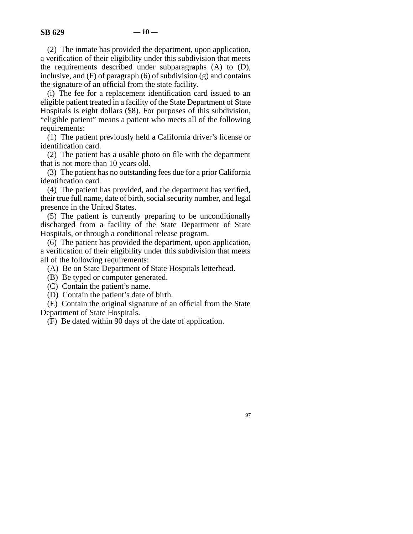(2) The inmate has provided the department, upon application, a verification of their eligibility under this subdivision that meets the requirements described under subparagraphs (A) to (D), inclusive, and  $(F)$  of paragraph  $(6)$  of subdivision  $(g)$  and contains the signature of an official from the state facility.

(i) The fee for a replacement identification card issued to an eligible patient treated in a facility of the State Department of State Hospitals is eight dollars (\$8). For purposes of this subdivision, "eligible patient" means a patient who meets all of the following requirements:

(1) The patient previously held a California driver's license or identification card.

(2) The patient has a usable photo on file with the department that is not more than 10 years old.

(3) The patient has no outstanding fees due for a prior California identification card.

(4) The patient has provided, and the department has verified, their true full name, date of birth, social security number, and legal presence in the United States.

(5) The patient is currently preparing to be unconditionally discharged from a facility of the State Department of State Hospitals, or through a conditional release program.

(6) The patient has provided the department, upon application, a verification of their eligibility under this subdivision that meets all of the following requirements:

(A) Be on State Department of State Hospitals letterhead.

(B) Be typed or computer generated.

(C) Contain the patient's name.

(D) Contain the patient's date of birth.

(E) Contain the original signature of an official from the State Department of State Hospitals.

(F) Be dated within 90 days of the date of application.